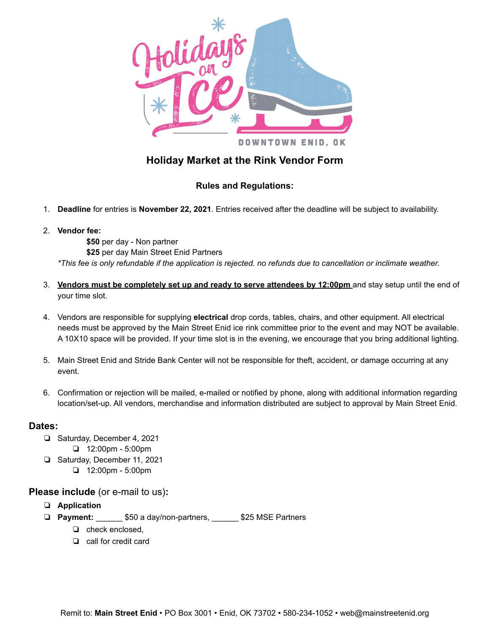

## **Holiday Market at the Rink Vendor Form**

## **Rules and Regulations:**

- 1. **Deadline** for entries is **November 22, 2021**. Entries received after the deadline will be subject to availability.
- 2. **Vendor fee:**

**\$50** per day - Non partner

**\$25** per day Main Street Enid Partners

\*This fee is only refundable if the application is rejected. no refunds due to cancellation or inclimate weather.

- 3. **Vendors must be completely set up and ready to serve attendees by 12:00pm** and stay setup until the end of your time slot.
- 4. Vendors are responsible for supplying **electrical** drop cords, tables, chairs, and other equipment. All electrical needs must be approved by the Main Street Enid ice rink committee prior to the event and may NOT be available. A 10X10 space will be provided. If your time slot is in the evening, we encourage that you bring additional lighting.
- 5. Main Street Enid and Stride Bank Center will not be responsible for theft, accident, or damage occurring at any event.
- 6. Confirmation or rejection will be mailed, e-mailed or notified by phone, along with additional information regarding location/set-up. All vendors, merchandise and information distributed are subject to approval by Main Street Enid.

## **Dates:**

- ❏ Saturday, December 4, 2021 ❏ 12:00pm - 5:00pm
- ❏ Saturday, December 11, 2021 ❏ 12:00pm - 5:00pm

## **Please include** (or e-mail to us)**:**

- ❏ **Application**
- ❏ **Payment:** \_\_\_\_\_\_ \$50 a day/non-partners, \_\_\_\_\_\_ \$25 MSE Partners
	- ❏ check enclosed,
	- ❏ call for credit card